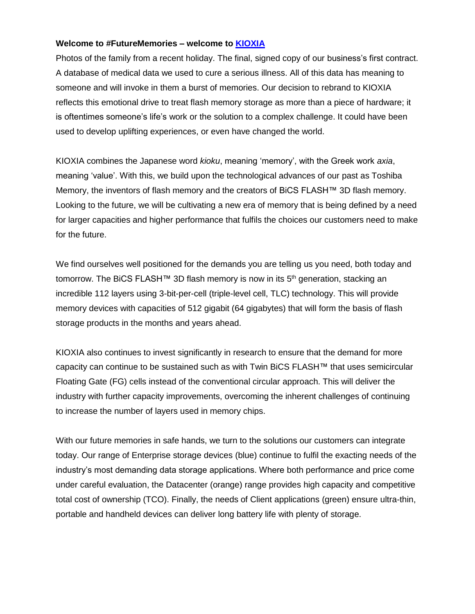### **Welcome to #FutureMemories – welcome to [KIOXIA](https://business.kioxia.com/en-emea)**

Photos of the family from a recent holiday. The final, signed copy of our business's first contract. A database of medical data we used to cure a serious illness. All of this data has meaning to someone and will invoke in them a burst of memories. Our decision to rebrand to KIOXIA reflects this emotional drive to treat flash memory storage as more than a piece of hardware; it is oftentimes someone's life's work or the solution to a complex challenge. It could have been used to develop uplifting experiences, or even have changed the world.

KIOXIA combines the Japanese word *kioku*, meaning 'memory', with the Greek work *axia*, meaning 'value'. With this, we build upon the technological advances of our past as Toshiba Memory, the inventors of flash memory and the creators of BiCS FLASH™ 3D flash memory. Looking to the future, we will be cultivating a new era of memory that is being defined by a need for larger capacities and higher performance that fulfils the choices our customers need to make for the future.

We find ourselves well positioned for the demands you are telling us you need, both today and tomorrow. The BiCS FLASH™ 3D flash memory is now in its 5<sup>th</sup> generation, stacking an incredible 112 layers using 3-bit-per-cell (triple-level cell, TLC) technology. This will provide memory devices with capacities of 512 gigabit (64 gigabytes) that will form the basis of flash storage products in the months and years ahead.

KIOXIA also continues to invest significantly in research to ensure that the demand for more capacity can continue to be sustained such as with Twin BiCS FLASH™ that uses semicircular Floating Gate (FG) cells instead of the conventional circular approach. This will deliver the industry with further capacity improvements, overcoming the inherent challenges of continuing to increase the number of layers used in memory chips.

With our future memories in safe hands, we turn to the solutions our customers can integrate today. Our range of Enterprise storage devices (blue) continue to fulfil the exacting needs of the industry's most demanding data storage applications. Where both performance and price come under careful evaluation, the Datacenter (orange) range provides high capacity and competitive total cost of ownership (TCO). Finally, the needs of Client applications (green) ensure ultra-thin, portable and handheld devices can deliver long battery life with plenty of storage.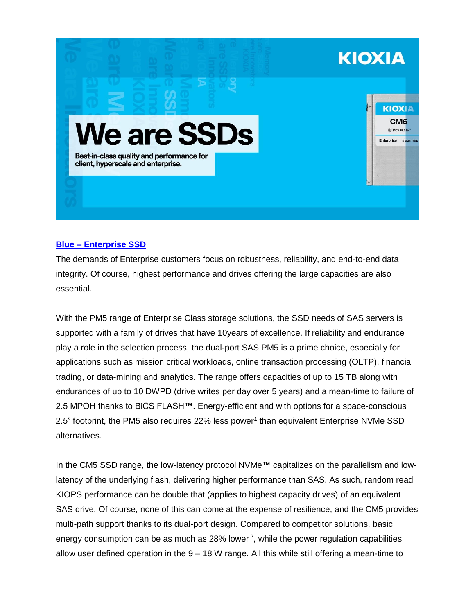

# **Blue – [Enterprise](https://business.kioxia.com/en-emea/ssd/enterprise-ssd.html) SSD**

The demands of Enterprise customers focus on robustness, reliability, and end-to-end data integrity. Of course, highest performance and drives offering the large capacities are also essential.

With the PM5 range of Enterprise Class storage solutions, the SSD needs of SAS servers is supported with a family of drives that have 10years of excellence. If reliability and endurance play a role in the selection process, the dual-port SAS PM5 is a prime choice, especially for applications such as mission critical workloads, online transaction processing (OLTP), financial trading, or data-mining and analytics. The range offers capacities of up to 15 TB along with endurances of up to 10 DWPD (drive writes per day over 5 years) and a mean-time to failure of 2.5 MPOH thanks to BiCS FLASH™. Energy-efficient and with options for a space-conscious 2.5" footprint, the PM5 also requires 22% less power<sup>1</sup> than equivalent Enterprise NVMe SSD alternatives.

In the CM5 SSD range, the low-latency protocol NVMe™ capitalizes on the parallelism and lowlatency of the underlying flash, delivering higher performance than SAS. As such, random read KIOPS performance can be double that (applies to highest capacity drives) of an equivalent SAS drive. Of course, none of this can come at the expense of resilience, and the CM5 provides multi-path support thanks to its dual-port design. Compared to competitor solutions, basic energy consumption can be as much as 28% lower<sup>2</sup>, while the power regulation capabilities allow user defined operation in the 9 – 18 W range. All this while still offering a mean-time to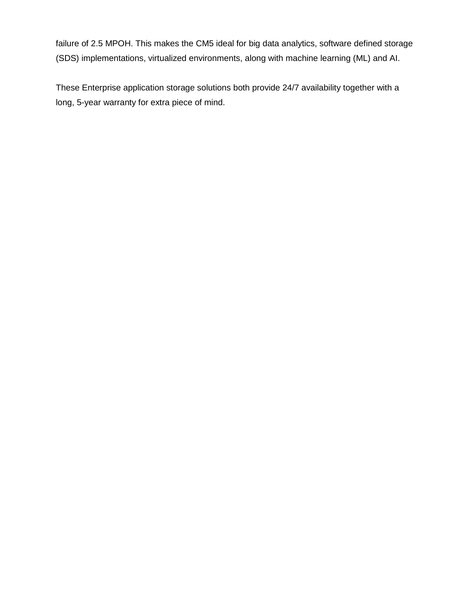failure of 2.5 MPOH. This makes the CM5 ideal for big data analytics, software defined storage (SDS) implementations, virtualized environments, along with machine learning (ML) and AI.

These Enterprise application storage solutions both provide 24/7 availability together with a long, 5-year warranty for extra piece of mind.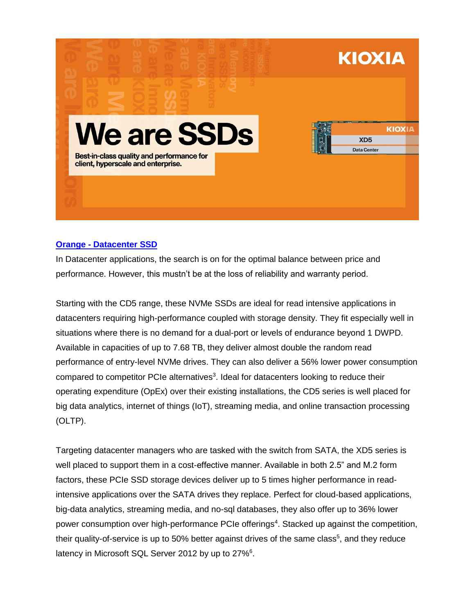

# **Orange - [Datacenter](https://business.kioxia.com/en-emea/ssd/data-center-ssd.html) SSD**

In Datacenter applications, the search is on for the optimal balance between price and performance. However, this mustn't be at the loss of reliability and warranty period.

Starting with the CD5 range, these NVMe SSDs are ideal for read intensive applications in datacenters requiring high-performance coupled with storage density. They fit especially well in situations where there is no demand for a dual-port or levels of endurance beyond 1 DWPD. Available in capacities of up to 7.68 TB, they deliver almost double the random read performance of entry-level NVMe drives. They can also deliver a 56% lower power consumption compared to competitor PCIe alternatives<sup>3</sup>. Ideal for datacenters looking to reduce their operating expenditure (OpEx) over their existing installations, the CD5 series is well placed for big data analytics, internet of things (IoT), streaming media, and online transaction processing (OLTP).

Targeting datacenter managers who are tasked with the switch from SATA, the XD5 series is well placed to support them in a cost-effective manner. Available in both 2.5" and M.2 form factors, these PCIe SSD storage devices deliver up to 5 times higher performance in readintensive applications over the SATA drives they replace. Perfect for cloud-based applications, big-data analytics, streaming media, and no-sql databases, they also offer up to 36% lower power consumption over high-performance PCIe offerings<sup>4</sup>. Stacked up against the competition, their quality-of-service is up to 50% better against drives of the same class<sup>5</sup>, and they reduce latency in Microsoft SQL Server 2012 by up to 27%<sup>6</sup>.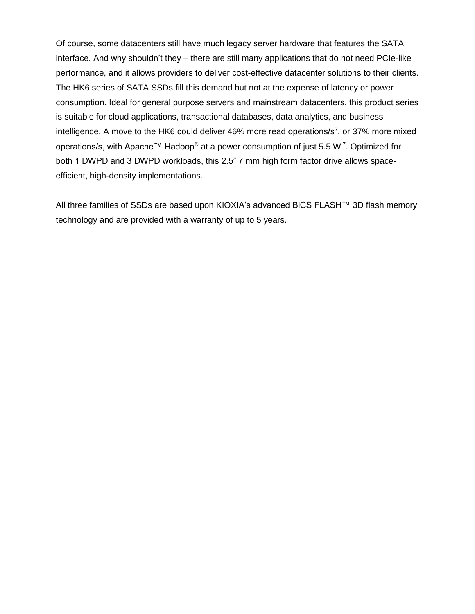Of course, some datacenters still have much legacy server hardware that features the SATA interface. And why shouldn't they – there are still many applications that do not need PCIe-like performance, and it allows providers to deliver cost-effective datacenter solutions to their clients. The HK6 series of SATA SSDs fill this demand but not at the expense of latency or power consumption. Ideal for general purpose servers and mainstream datacenters, this product series is suitable for cloud applications, transactional databases, data analytics, and business intelligence. A move to the HK6 could deliver 46% more read operations/ $s^7$ , or 37% more mixed operations/s, with Apache™ Hadoop® at a power consumption of just 5.5 W <sup>7</sup>. Optimized for both 1 DWPD and 3 DWPD workloads, this 2.5" 7 mm high form factor drive allows spaceefficient, high-density implementations.

All three families of SSDs are based upon KIOXIA's advanced BiCS FLASH™ 3D flash memory technology and are provided with a warranty of up to 5 years.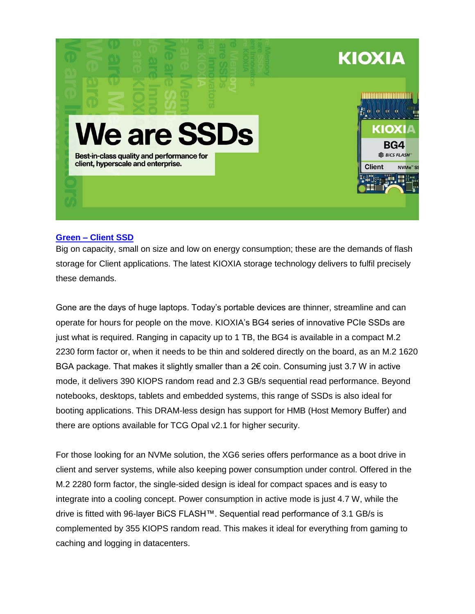

### **[Green –](https://business.kioxia.com/en-emea/ssd/client-ssd.html) Client SSD**

Big on capacity, small on size and low on energy consumption; these are the demands of flash storage for Client applications. The latest KIOXIA storage technology delivers to fulfil precisely these demands.

Gone are the days of huge laptops. Today's portable devices are thinner, streamline and can operate for hours for people on the move. KIOXIA's BG4 series of innovative PCIe SSDs are just what is required. Ranging in capacity up to 1 TB, the BG4 is available in a compact M.2 2230 form factor or, when it needs to be thin and soldered directly on the board, as an M.2 1620 BGA package. That makes it slightly smaller than a 2€ coin. Consuming just 3.7 W in active mode, it delivers 390 KIOPS random read and 2.3 GB/s sequential read performance. Beyond notebooks, desktops, tablets and embedded systems, this range of SSDs is also ideal for booting applications. This DRAM-less design has support for HMB (Host Memory Buffer) and there are options available for TCG Opal v2.1 for higher security.

For those looking for an NVMe solution, the XG6 series offers performance as a boot drive in client and server systems, while also keeping power consumption under control. Offered in the M.2 2280 form factor, the single-sided design is ideal for compact spaces and is easy to integrate into a cooling concept. Power consumption in active mode is just 4.7 W, while the drive is fitted with 96-layer BiCS FLASH™. Sequential read performance of 3.1 GB/s is complemented by 355 KIOPS random read. This makes it ideal for everything from gaming to caching and logging in datacenters.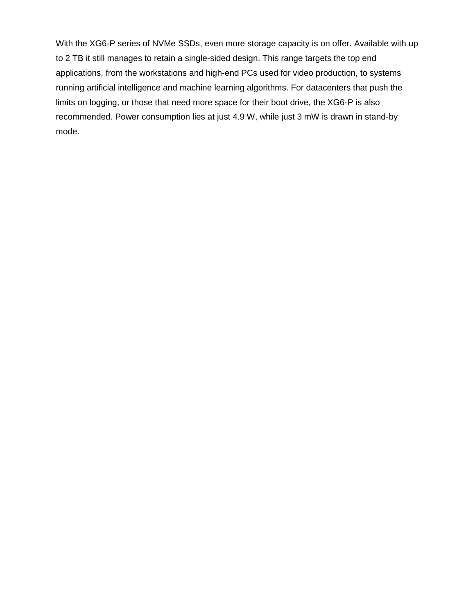With the XG6-P series of NVMe SSDs, even more storage capacity is on offer. Available with up to 2 TB it still manages to retain a single-sided design. This range targets the top end applications, from the workstations and high-end PCs used for video production, to systems running artificial intelligence and machine learning algorithms. For datacenters that push the limits on logging, or those that need more space for their boot drive, the XG6-P is also recommended. Power consumption lies at just 4.9 W, while just 3 mW is drawn in stand-by mode.